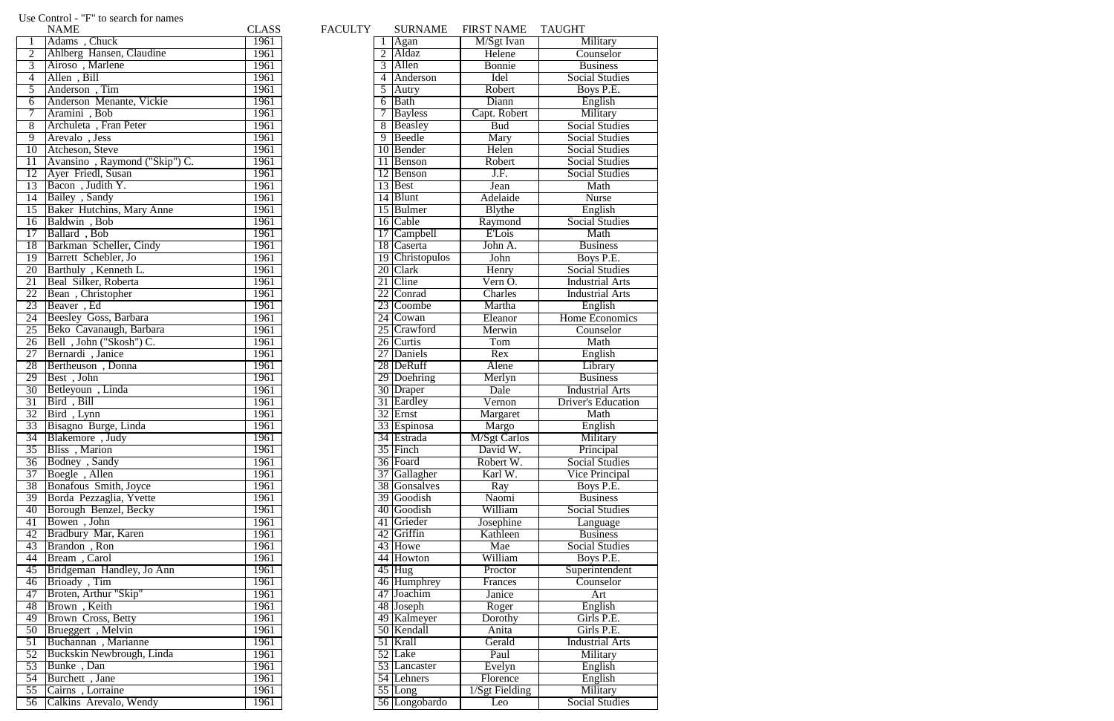|                 | <b>NAME</b>                   | <b>CLASS</b>     | <b>FACULTY</b> | <b>SURNAME</b>       | <b>FIRST NAME</b>    | <b>TAUGHT</b>                                |
|-----------------|-------------------------------|------------------|----------------|----------------------|----------------------|----------------------------------------------|
| $\mathbf{1}$    | Adams, Chuck                  | 1961             |                | Agan                 | M/Sgt Ivan           | Military                                     |
| $\overline{2}$  | Ahlberg Hansen, Claudine      | 1961             |                | 2 Aldaz              | Helene               | Counselor                                    |
| $\overline{3}$  | Airoso, Marlene               | 1961             |                | 3 Allen              | Bonnie               | <b>Business</b>                              |
| $\overline{4}$  | Allen, Bill                   | 1961             |                | 4 Anderson           | Idel                 | <b>Social Studies</b>                        |
| $\overline{5}$  | Anderson, Tim                 | 1961             |                | $\overline{5}$ Autry | Robert               | Boys P.E.                                    |
| 6               | Anderson Menante, Vickie      | 1961             |                | 6 Bath               | Diann                | English                                      |
| $\overline{7}$  | Aramini, Bob                  | 1961             |                | 7 Bayless            | Capt. Robert         | Military                                     |
| 8               | Archuleta, Fran Peter         | 1961             |                | 8 Beasley            | <b>Bud</b>           | <b>Social Studies</b>                        |
| 9               | Arevalo, Jess                 | 1961             |                | 9 Beedle             | Mary                 | <b>Social Studies</b>                        |
| 10              | Atcheson, Steve               | 1961             |                | 10 Bender            | Helen                | <b>Social Studies</b>                        |
| 11              | Avansino, Raymond ("Skip") C. | 1961             |                | 11 Benson            | Robert               | <b>Social Studies</b>                        |
| 12              | Ayer Friedl, Susan            | 1961             |                | 12 Benson            | J.F.                 | <b>Social Studies</b>                        |
| $\overline{13}$ | Bacon, Judith Y.              | 1961             |                | 13 Best              | Jean                 | Math                                         |
| $\overline{14}$ | Bailey, Sandy                 | 1961             |                | 14 Blunt             | Adelaide             | <b>Nurse</b>                                 |
| 15              | Baker Hutchins, Mary Anne     | 1961             |                | 15 Bulmer            | <b>B</b> lythe       | English                                      |
| 16              | Baldwin, Bob                  | 1961             |                | 16 Cable             | Raymond              | <b>Social Studies</b>                        |
| 17              | Ballard, Bob                  | 1961             |                | 17 Campbell          | E'Lois               | Math                                         |
|                 | 18 Barkman Scheller, Cindy    | 1961             |                | 18 Caserta           | John A.              | <b>Business</b>                              |
| 19              | Barrett Schebler, Jo          | 1961             |                | 19 Christopulos      | John                 | Boys P.E.                                    |
| 20              | Barthuly, Kenneth L.          | 1961             |                | 20 Clark             | Henry                | <b>Social Studies</b>                        |
| $\overline{21}$ | Beal Silker, Roberta          | 1961             |                | 21 Cline             | Vern O.              | <b>Industrial Arts</b>                       |
| 22              | Bean, Christopher             | 1961             |                | 22 Conrad            | Charles              | <b>Industrial Arts</b>                       |
| 23              | Beaver, Ed                    | 1961             |                | 23 Coombe            | Martha               |                                              |
| 24              | Beesley Goss, Barbara         | 1961             |                |                      |                      | English<br>Home Economics                    |
| 25              |                               | 1961             |                | 24 Cowan             | Eleanor              |                                              |
|                 | Beko Cavanaugh, Barbara       |                  |                | 25 Crawford          | Merwin               | Counselor                                    |
| 26              | Bell, John ("Skosh") C.       | 1961             |                | 26 Curtis            | Tom                  | Math                                         |
| 27              | Bernardi, Janice              | 1961             |                | 27 Daniels           | Rex                  | English                                      |
| $\overline{28}$ | Bertheuson, Donna             | 1961             |                | 28 DeRuff            | Alene                | Library                                      |
| 29              | Best, John                    | 1961             |                | 29 Doehring          | Merlyn               | <b>Business</b>                              |
| $\overline{30}$ | Betleyoun, Linda              | 1961             |                | 30 Draper            | Dale                 | <b>Industrial Arts</b>                       |
| $\overline{31}$ | Bird, Bill                    | 1961             |                | 31 Eardley           | Vernon               | <b>Driver's Education</b>                    |
| 32              | Bird, Lynn                    | 1961             |                | 32 Ernst             | Margaret             | Math                                         |
| $\overline{33}$ | Bisagno Burge, Linda          | 1961             |                | 33 Espinosa          | Margo                | English                                      |
|                 | 34 Blakemore, Judy            | 1961             |                | 34 Estrada           | <b>M</b> /Sgt Carlos | Military                                     |
| 35 <sup>7</sup> | Bliss, Marion                 | 1961             |                | 35 Finch             | David W.             | Principal                                    |
| $\overline{36}$ | Bodney, Sandy                 | 1961             |                | 36 Foard             | Robert W.            | <b>Social Studies</b>                        |
| 37              | Boegle, Allen                 | 1961             |                | 37 Gallagher         | Karl W.              | <b>Vice Principal</b>                        |
| $\overline{38}$ | Bonafous Smith, Joyce         | 1961             |                | 38 Gonsalves         | Ray                  | Boys P.E.                                    |
| 39              | Borda Pezzaglia, Yvette       | 1961             |                | 39 Goodish           | Naomi                | <b>Business</b>                              |
| 40              | Borough Benzel, Becky         | 1961             |                | 40 Goodish           | William              | <b>Social Studies</b>                        |
| 41              | Bowen, John                   | 1961             |                | 41 Grieder           | Josephine            | Language                                     |
| 42              | Bradbury Mar, Karen           | 1961             |                | 42 Griffin           | Kathleen             | <b>Business</b>                              |
| 43              | Brandon, Ron                  | 1961             |                | 43 Howe              | Mae                  | <b>Social Studies</b>                        |
| 44              | Bream, Carol                  | 1961             |                | 44 Howton            | William              | Boys P.E.                                    |
| 45              | Bridgeman Handley, Jo Ann     | 1961             |                | $45$ Hug             | Proctor              | Superintendent                               |
| 46              | Brioady, Tim                  | 1961             |                | 46 Humphrey          | Frances              | Counselor                                    |
| 47              | Broten, Arthur "Skip"         | 1961             |                | 47 Joachim           | Janice               | Art                                          |
| 48              | Brown, Keith                  | 1961             |                | 48 Joseph            | Roger                | English                                      |
| 49              | <b>Brown Cross, Betty</b>     | 1961             |                | 49 Kalmeyer          | Dorothy              | Girls P.E.                                   |
| 50              | Brueggert, Melvin             | 1961             |                | 50 Kendall           | Anita                | Girls P.E.                                   |
| 51              | Buchannan, Marianne           | 1961             |                | 51 Krall             | Gerald               | <b>Industrial Arts</b>                       |
| 52              | Buckskin Newbrough, Linda     | 1961             |                | 52 Lake              | Paul                 | Military                                     |
| 53              | Bunke, Dan                    | 1961             |                | 53 Lancaster         | Evelyn               | English                                      |
|                 | 54 Burchett, Jane             | 1961             |                | 54 Lehners           | Florence             | English                                      |
| $\overline{55}$ | Cairns, Lorraine              | 1961             |                | $\overline{55}$ Long | 1/Sgt Fielding       | Military                                     |
|                 | $56$ Colline Arouale Wandy    | 10 <sub>61</sub> |                | $56$ I ongobordo     | $\overline{I}$ as    | $\Gamma_{\text{co}}$ or $\Gamma_{\text{tr}}$ |

|                   | <b>NAME</b>                   | <b>CLASS</b> | <b>FACULTY</b> |                 | <b>SURNAME</b>  | <b>FIRST NAME</b>             | <b>TAUGHT</b>            |
|-------------------|-------------------------------|--------------|----------------|-----------------|-----------------|-------------------------------|--------------------------|
|                   | Adams, Chuck                  | 1961         |                |                 | Agan            | M/Sgt Ivan                    | Military                 |
| $\overline{2}$    | Ahlberg Hansen, Claudine      | 1961         |                |                 | Aldaz           | Helene                        | Counselor                |
| $\overline{3}$    | Airoso, Marlene               | 1961         |                | 3               | Allen           | Bonnie                        | <b>Business</b>          |
| $\overline{4}$    | Allen, Bill                   | 1961         |                | $\overline{4}$  | Anderson        | Idel                          | <b>Social Studies</b>    |
| $\overline{5}$    | Anderson, Tim                 | 1961         |                | 5               | Autry           | Robert                        | Boys P.E.                |
| 6                 | Anderson Menante, Vickie      | 1961         |                | 6               | <b>Bath</b>     | Diann                         | English                  |
| $\overline{\tau}$ | Aramini, Bob                  | 1961         |                |                 | <b>Bayless</b>  | Capt. Robert                  | Military                 |
| $\overline{8}$    | Archuleta, Fran Peter         | 1961         |                | $\overline{8}$  | Beasley         | <b>Bud</b>                    | <b>Social Studies</b>    |
| $\overline{9}$    | Arevalo, Jess                 | 1961         |                | $\overline{9}$  | Beedle          | Mary                          | <b>Social Studies</b>    |
| 10                | Atcheson, Steve               | 1961         |                |                 | 10 Bender       | Helen                         | <b>Social Studies</b>    |
| 11                | Avansino, Raymond ("Skip") C. | 1961         |                | 11              | Benson          | Robert                        | <b>Social Studies</b>    |
| 12                | Ayer Friedl, Susan            | 1961         |                | 12              | Benson          | J.F.                          | <b>Social Studies</b>    |
| 13                | Bacon, Judith Y.              | 1961         |                | 13              | Best            | Jean                          | Math                     |
| $\overline{14}$   | Bailey, Sandy                 | 1961         |                |                 | 14 Blunt        | Adelaide                      | <b>Nurse</b>             |
| 15                | Baker Hutchins, Mary Anne     | 1961         |                |                 | 15 Bulmer       | <b>B</b> lythe                | English                  |
| 16                | Baldwin, Bob                  | 1961         |                |                 | 16 Cable        | Raymond                       | <b>Social Studies</b>    |
| 17                | Ballard, Bob                  | 1961         |                | 17              | Campbell        | <b>E</b> Lois                 | Math                     |
| 18                | Barkman Scheller, Cindy       | 1961         |                |                 | 18 Caserta      | John A.                       | <b>Business</b>          |
| 19                | Barrett Schebler, Jo          | 1961         |                |                 | 19 Christopulos | John                          | Boys P.E.                |
| 20                | Barthuly, Kenneth L.          | 1961         |                |                 | 20 Clark        | Henry                         | <b>Social Studies</b>    |
| 21                | Beal Silker, Roberta          | 1961         |                | 21              | Cline           | Vern O.                       | <b>Industrial Arts</b>   |
| 22                | Bean, Christopher             | 1961         |                | 22              | Conrad          | Charles                       | <b>Industrial Arts</b>   |
| 23                | Beaver, Ed                    | 1961         |                | 23              | Coombe          | Martha                        | English                  |
| 24                | <b>Beesley Goss, Barbara</b>  | 1961         |                | 24              | Cowan           | Eleanor                       | Home Economic            |
| 25                | Beko Cavanaugh, Barbara       | 1961         |                | $\overline{25}$ | Crawford        | Merwin                        | Counselor                |
| $\overline{26}$   | Bell, John ("Skosh") C.       | 1961         |                |                 | 26 Curtis       | Tom                           | Math                     |
| 27                | Bernardi, Janice              | 1961         |                | $\overline{27}$ | Daniels         | Rex                           | English                  |
| 28                | Bertheuson, Donna             | 1961         |                |                 | 28 DeRuff       | Alene                         | Library                  |
| 29                | Best, John                    | 1961         |                |                 | 29 Doehring     | $\overline{\text{Merlyn}}$    | <b>Business</b>          |
| 30                | Betleyoun, Linda              | 1961         |                |                 | 30 Draper       | Dale                          | <b>Industrial Arts</b>   |
| 31                | Bird, Bill                    | 1961         |                |                 | 31 Eardley      | Vernon                        | <b>Driver's Educatio</b> |
| 32                | Bird, Lynn                    | 1961         |                | 32              | Ernst           | $\overline{\text{M}}$ argaret | Math                     |
| 33                | Bisagno Burge, Linda          | 1961         |                |                 | 33 Espinosa     | Margo                         | English                  |
| 34                | Blakemore, Judy               | 1961         |                |                 | 34 Estrada      | <b>M</b> /Sgt Carlos          | Military                 |
| $\overline{35}$   | Bliss, Marion                 | 1961         |                |                 | 35 Finch        | David W.                      | Principal                |
| $\overline{36}$   | Bodney, Sandy                 | 1961         |                |                 | 36 Foard        | Robert W.                     | Social Studies           |
| 37                | Boegle, Allen                 | 1961         |                |                 | 37 Gallagher    | Karl W.                       | Vice Principal           |
| 38                | Bonafous Smith, Joyce         | 1961         |                |                 | 38 Gonsalves    | Ray                           | Boys P.E.                |
| 39                | Borda Pezzaglia, Yvette       | 1961         |                |                 | 39 Goodish      | Naomi                         | <b>Business</b>          |
| 40                | Borough Benzel, Becky         | 1961         |                |                 | 40 Goodish      | William                       | <b>Social Studies</b>    |
| 41                | Bowen, John                   | 1961         |                | 41              | Grieder         | Josephine                     | Language                 |
| 42                | Bradbury Mar, Karen           | 1961         |                |                 | 42 Griffin      | Kathleen                      | <b>Business</b>          |
| 43                | Brandon, Ron                  | 1961         |                |                 | 43 Howe         | Mae                           | <b>Social Studies</b>    |
| 44                | Bream, Carol                  | 1961         |                |                 | 44 Howton       | William                       | Boys P.E.                |
| $\overline{45}$   | Bridgeman Handley, Jo Ann     | 1961         |                |                 | $45$ Hug        | Proctor                       | Superintendent           |
| 46                | Brioady, Tim                  | 1961         |                |                 | 46 Humphrey     | Frances                       | Counselor                |
| 47                | Broten, Arthur "Skip"         | 1961         |                |                 | 47 Joachim      | Janice                        | Art                      |
| 48                | Brown, Keith                  | 1961         |                |                 | 48 Joseph       | Roger                         | English                  |
| 49                | <b>Brown Cross, Betty</b>     | 1961         |                |                 | 49 Kalmeyer     | Dorothy                       | Girls P.E.               |
| 50                | Brueggert, Melvin             | 1961         |                |                 | 50 Kendall      | Anita                         | Girls P.E.               |
| $\overline{51}$   | Buchannan, Marianne           | 1961         |                |                 | 51 Krall        | Gerald                        | <b>Industrial Arts</b>   |
| $\overline{52}$   | Buckskin Newbrough, Linda     | 1961         |                | 52              | Lake            | Paul                          | Military                 |
| $\overline{53}$   | Bunke, Dan                    | 1961         |                | 53              | Lancaster       | Evelyn                        | English                  |
| 54                | Burchett, Jane                | 1961         |                |                 | 54 Lehners      | Florence                      | English                  |
| $\overline{55}$   | Cairns, Lorraine              | 1961         |                |                 | $55$ Long       | 1/Sgt Fielding                | Military                 |
| $\overline{56}$   | Calkins Arevalo, Wendy        | 1961         |                |                 | 56 Longobardo   | Leo                           | <b>Social Studies</b>    |
|                   |                               |              |                |                 |                 |                               |                          |

## Use Control - "F" to search for names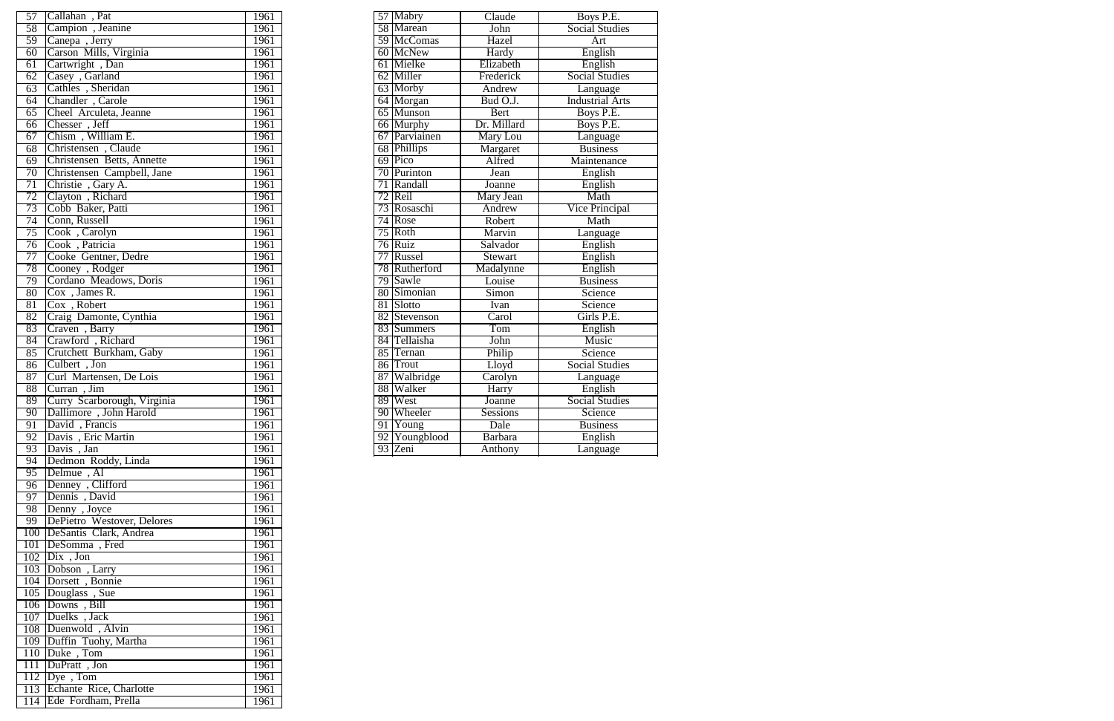| 57              | Callahan, Pat               | 1961 |                 | 57 Mabry      | Claude         | Boys P.E.              |
|-----------------|-----------------------------|------|-----------------|---------------|----------------|------------------------|
| 58              | Campion, Jeanine            | 1961 |                 | 58 Marean     | John           | <b>Social Studies</b>  |
| 59              | Canepa, Jerry               | 1961 |                 | 59 McComas    | Hazel          | Art                    |
| 60              | Carson Mills, Virginia      | 1961 |                 | 60 McNew      | <b>Hardy</b>   | English                |
| $\overline{61}$ | Cartwright, Dan             | 1961 |                 | 61 Mielke     | Elizabeth      | English                |
| 62              | Casey, Garland              | 1961 |                 | 62 Miller     | Frederick      | <b>Social Studies</b>  |
| 63              | Cathles, Sheridan           | 1961 |                 | 63 Morby      | Andrew         | Language               |
| $\overline{64}$ | Chandler, Carole            | 1961 |                 | 64 Morgan     | Bud O.J.       | <b>Industrial Arts</b> |
| $\overline{65}$ | Cheel Arculeta, Jeanne      | 1961 |                 | 65 Munson     | <b>Bert</b>    | Boys P.E.              |
| $\overline{66}$ | Chesser, Jeff               | 1961 |                 | 66 Murphy     | Dr. Millard    | Boys P.E.              |
| 67              | Chism, William E.           | 1961 |                 | 67 Parviainen | Mary Lou       | Language               |
| 68              | Christensen, Claude         | 1961 |                 | 68 Phillips   | Margaret       | <b>Business</b>        |
| $\overline{69}$ | Christensen Betts, Annette  | 1961 |                 | 69 Pico       | Alfred         | Maintenance            |
| $\overline{70}$ | Christensen Campbell, Jane  | 1961 |                 | 70 Purinton   | Jean           | English                |
| 71              | Christie, Gary A.           | 1961 | 71              | Randall       | <b>Joanne</b>  | English                |
| 72              | Clayton, Richard            | 1961 |                 | 72 Reil       | Mary Jean      | Math                   |
| 73              | Cobb Baker, Patti           | 1961 |                 | 73 Rosaschi   | Andrew         | <b>Vice Principal</b>  |
| 74              | Conn, Russell               | 1961 |                 | 74 Rose       | Robert         | Math                   |
|                 |                             | 1961 | $\overline{75}$ | Roth          |                |                        |
| 75              | Cook, Carolyn               |      |                 |               | Marvin         | Language               |
| $\overline{76}$ | Cook, Patricia              | 1961 |                 | 76 Ruiz       | Salvador       | English                |
| 77              | Cooke Gentner, Dedre        | 1961 |                 | 77 Russel     | Stewart        | English                |
| 78              | Cooney, Rodger              | 1961 |                 | 78 Rutherford | Madalynne      | English                |
| 79              | Cordano Meadows, Doris      | 1961 | 79              | Sawle         | Louise         | <b>Business</b>        |
| 80              | $Cox$ , James R.            | 1961 | 80              | Simonian      | Simon          | Science                |
| 81              | $Cox$ , Robert              | 1961 | 81              | Slotto        | Ivan           | Science                |
| 82              | Craig Damonte, Cynthia      | 1961 |                 | 82 Stevenson  | Carol          | Girls P.E.             |
| 83              | Craven, Barry               | 1961 |                 | 83 Summers    | Tom            | English                |
| 84              | Crawford, Richard           | 1961 |                 | 84 Tellaisha  | John           | Music                  |
| 85              | Crutchett Burkham, Gaby     | 1961 | 85              | Ternan        | Philip         | Science                |
| 86              | Culbert, Jon                | 1961 |                 | 86 Trout      | Lloyd          | <b>Social Studies</b>  |
| 87              | Curl Martensen, De Lois     | 1961 |                 | 87 Walbridge  | Carolyn        | Language               |
| 88              | Curran, Jim                 | 1961 |                 | 88 Walker     | Harry          | English                |
| 89              | Curry Scarborough, Virginia | 1961 | 89              | West          | Joanne         | <b>Social Studies</b>  |
| 90              | Dallimore, John Harold      | 1961 |                 | 90 Wheeler    | Sessions       | Science                |
| 91              | David, Francis              | 1961 |                 | 91 Young      | Dale           | <b>Business</b>        |
| $\overline{92}$ | Davis, Eric Martin          | 1961 |                 | 92 Youngblood | <b>Barbara</b> | English                |
| 93              | Davis, Jan                  | 1961 |                 | 93 Zeni       | Anthony        | Language               |
| $\overline{94}$ | Dedmon Roddy, Linda         | 1961 |                 |               |                |                        |
| 95              | Delmue, Al                  | 1961 |                 |               |                |                        |
|                 | 96 Denney, Clifford         | 1961 |                 |               |                |                        |
| 97              | Dennis, David               | 1961 |                 |               |                |                        |
| 98              | Denny, Joyce                | 1961 |                 |               |                |                        |
| 99              | DePietro Westover, Delores  | 1961 |                 |               |                |                        |
|                 |                             |      |                 |               |                |                        |
|                 | 100 DeSantis Clark, Andrea  | 1961 |                 |               |                |                        |
|                 | 101   DeSomma, Fred         | 1961 |                 |               |                |                        |
|                 | $102$ Dix , Jon             | 1961 |                 |               |                |                        |
|                 | 103 Dobson, Larry           | 1961 |                 |               |                |                        |
|                 | 104 Dorsett, Bonnie         | 1961 |                 |               |                |                        |
|                 | 105 Douglass, Sue           | 1961 |                 |               |                |                        |
|                 | 106 Downs, Bill             | 1961 |                 |               |                |                        |
|                 | 107 Duelks, Jack            | 1961 |                 |               |                |                        |
|                 | 108 Duenwold, Alvin         | 1961 |                 |               |                |                        |
|                 | 109 Duffin Tuohy, Martha    | 1961 |                 |               |                |                        |
|                 | 110 Duke, Tom               | 1961 |                 |               |                |                        |
|                 | 111 DuPratt, Jon            | 1961 |                 |               |                |                        |
|                 | $112$ Dye, Tom              | 1961 |                 |               |                |                        |
|                 | 113 Echante Rice, Charlotte | 1961 |                 |               |                |                        |
|                 | 114 Ede Fordham, Prella     | 1961 |                 |               |                |                        |

| 57 Mabry      | Claude          | Boys P.E.              |
|---------------|-----------------|------------------------|
| 58 Marean     | John            | <b>Social Studies</b>  |
| 59 McComas    | Hazel           | Art                    |
| 60 McNew      | Hardy           | English                |
| 61 Mielke     | Elizabeth       | English                |
| 62 Miller     | Frederick       | <b>Social Studies</b>  |
| 63 Morby      | Andrew          | Language               |
| 64 Morgan     | Bud O.J.        | <b>Industrial Arts</b> |
| 65 Munson     | Bert            | Boys P.E.              |
| 66 Murphy     | Dr. Millard     | Boys P.E.              |
| 67 Parviainen | Mary Lou        | Language               |
| 68 Phillips   | Margaret        | <b>Business</b>        |
| 69 Pico       | Alfred          | Maintenance            |
| 70 Purinton   | Jean            | English                |
| 71 Randall    | Joanne          | English                |
| 72 Reil       | Mary Jean       | Math                   |
| 73 Rosaschi   | Andrew          | Vice Principal         |
| 74 Rose       | Robert          | Math                   |
| 75 Roth       | Marvin          | Language               |
| 76 Ruiz       | Salvador        | English                |
| 77 Russel     | Stewart         | English                |
| 78 Rutherford | Madalynne       | English                |
| 79 Sawle      | Louise          | <b>Business</b>        |
| 80 Simonian   | Simon           | Science                |
| 81 Slotto     | <b>I</b> van    | Science                |
| 82 Stevenson  | Carol           | Girls P.E.             |
| 83 Summers    | Tom             | English                |
| 84 Tellaisha  | John            | Music                  |
| 85 Ternan     | Philip          | Science                |
| 86 Trout      | Lloyd           | <b>Social Studies</b>  |
| 87 Walbridge  | Carolyn         | <b>Language</b>        |
| 88 Walker     | Harry           | English                |
| 89 West       | Joanne          | <b>Social Studies</b>  |
| 90 Wheeler    | <b>Sessions</b> | Science                |
| 91 Young      | Dale            | <b>Business</b>        |
| 92 Youngblood | Barbara         | English                |
| 93 Zeni       | Anthony         | Language               |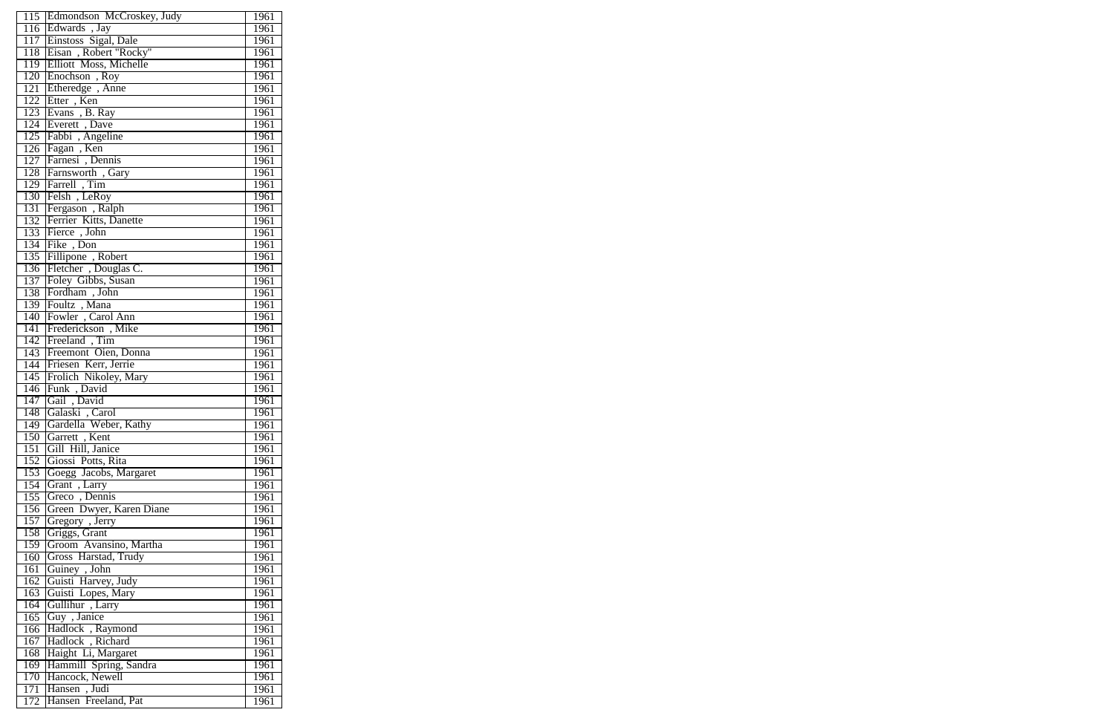|     | 115 Edmondson McCroskey, Judy | 1961        |
|-----|-------------------------------|-------------|
|     | 116 Edwards, Jay              | 1961        |
|     | 117 Einstoss Sigal, Dale      | 1961        |
|     | 118 Eisan, Robert "Rocky"     | 1961        |
|     |                               |             |
|     | 119 Elliott Moss, Michelle    | 1961        |
|     | 120 Enochson, Roy             | 1961        |
|     | 121 Etheredge, Anne           | 1961        |
|     | 122 Etter, Ken                | 1961        |
|     | 123 Evans, B. Ray             | 1961        |
|     | 124 Everett, Dave             | 1961        |
|     | 125 Fabbi , Angeline          | 1961        |
|     | 126 Fagan, Ken                | 1961        |
|     | 127 Farnesi, Dennis           | 1961        |
|     | 128 Farnsworth, Gary          | 1961        |
|     | 129 Farrell, Tim              | 1961        |
|     | 130 Felsh, LeRoy              | 1961        |
|     | 131 Fergason, Ralph           | 1961        |
|     | 132 Ferrier Kitts, Danette    | 1961        |
|     | 133 Fierce, John              | 1961        |
|     | 134 Fike, Don                 | 1961        |
|     |                               |             |
|     | 135 Fillipone, Robert         | 1961        |
|     | 136 Fletcher, Douglas C.      | 1961        |
|     | 137 Foley Gibbs, Susan        | 1961        |
|     | 138 Fordham, John             | 1961        |
|     | 139 Foultz, Mana              | 1961        |
|     | 140 Fowler, Carol Ann         | 1961        |
|     | 141 Frederickson, Mike        | 1961        |
|     | 142 Freeland, Tim             | 1961        |
|     | 143 Freemont Oien, Donna      | 1961        |
|     | 144 Friesen Kerr, Jerrie      | <b>1961</b> |
|     | 145 Frolich Nikoley, Mary     | 1961        |
|     | 146 Funk, David               | 1961        |
| 147 | Gail, David                   | 1961        |
| 148 | Galaski, Carol                | 1961        |
| 149 | Gardella Weber, Kathy         | 1961        |
|     | 150 Garrett, Kent             | 1961        |
|     | 151 Gill Hill, Janice         |             |
|     |                               | 1961        |
|     | 152 Giossi Potts, Rita        | 1961        |
| 153 | Goegg Jacobs, Margaret        | 1961        |
| 154 | Grant, Larry                  | 1961        |
| 155 | Greco, Dennis                 | 1961        |
| 156 | Green Dwyer, Karen Diane      | 1961        |
| 157 | Gregory , Jerry               | 1961        |
| 158 | Griggs, Grant                 | 1961        |
| 159 | Groom Avansino, Martha        | 1961        |
| 160 | Gross Harstad, Trudy          | 1961        |
| 161 | Guiney, John                  | 1961        |
| 162 | Guisti Harvey, Judy           | 1961        |
| 163 | Guisti Lopes, Mary            | 1961        |
| 164 | Gullihur, Larry               | 1961        |
| 165 | Guy, Janice                   | 1961        |
| 166 | Hadlock, Raymond              | 1961        |
|     | Hadlock, Richard              | 1961        |
| 167 |                               |             |
| 168 | Haight Li, Margaret           | 1961        |
|     | 169 Hammill Spring, Sandra    | 1961        |
|     | 170 Hancock, Newell           | 1961        |
|     | 171 Hansen, Judi              | 1961        |
|     | 172 Hansen Freeland, Pat      | 1961        |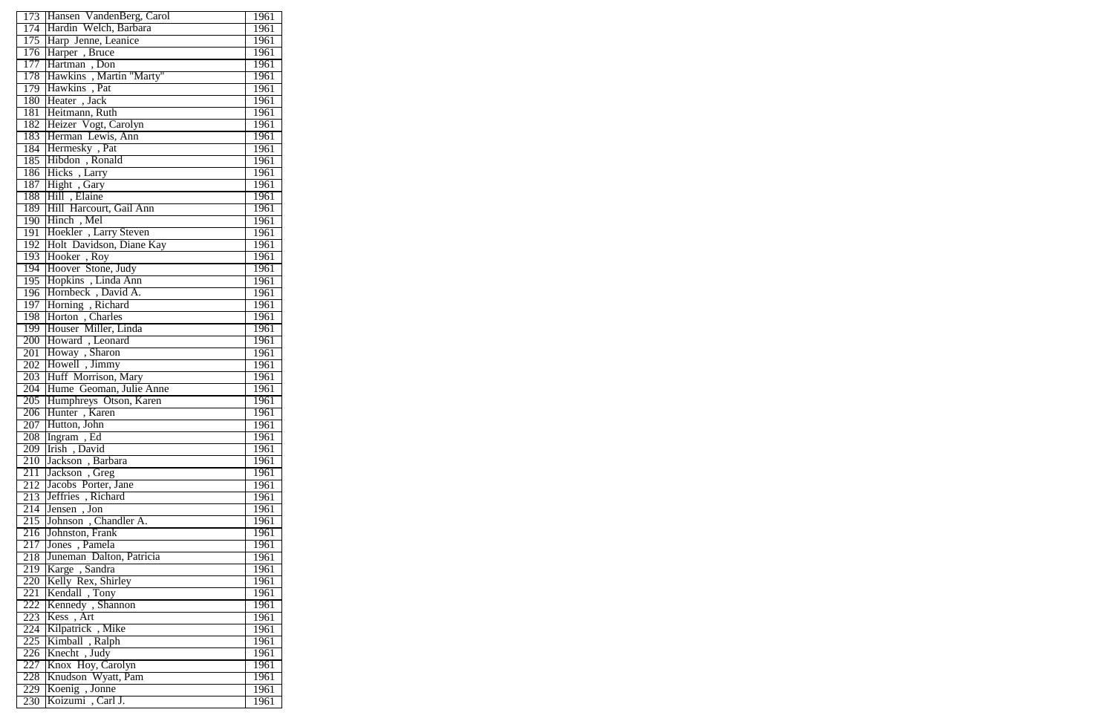|     | 173 Hansen VandenBerg, Carol           | 1961 |
|-----|----------------------------------------|------|
|     |                                        |      |
|     | 174 Hardin Welch, Barbara              | 1961 |
|     | 175 Harp Jenne, Leanice                | 1961 |
|     | 176 Harper, Bruce                      | 1961 |
|     | 177 Hartman, Don                       | 1961 |
|     | 178 Hawkins, Martin "Marty"            | 1961 |
|     | 179 Hawkins, Pat                       | 1961 |
|     | 180 Heater, Jack                       | 1961 |
|     | 181 Heitmann, Ruth                     | 1961 |
|     | 182 Heizer Vogt, Carolyn               | 1961 |
|     | 183 Herman Lewis, Ann                  | 1961 |
|     | 184 Hermesky, Pat                      | 1961 |
|     | 185 Hibdon, Ronald                     | 1961 |
|     |                                        |      |
|     | 186 Hicks, Larry                       | 1961 |
| 187 | Hight, Gary                            | 1961 |
|     | 188 Hill, Elaine                       | 1961 |
|     | 189 Hill Harcourt, Gail Ann            | 1961 |
|     | 190 Hinch, Mel                         | 1961 |
|     | 191 Hoekler, Larry Steven              | 1961 |
| 192 | Holt Davidson, Diane Kay               | 1961 |
|     | 193 Hooker, Roy                        | 1961 |
|     | 194 Hoover Stone, Judy                 | 1961 |
|     | 195 Hopkins, Linda Ann                 | 1961 |
|     | 196 Hornbeck, David A.                 | 1961 |
| 197 | Horning, Richard                       | 1961 |
|     | 198 Horton, Charles                    | 1961 |
|     | 199 Houser Miller, Linda               | 1961 |
|     | 200 Howard, Leonard                    | 1961 |
| 201 | Howay, Sharon                          | 1961 |
|     |                                        |      |
| 202 | Howell, Jimmy                          | 1961 |
|     | 203 Huff Morrison, Mary                | 1961 |
|     | 204 Hume Geoman, Julie Anne            | 1961 |
| 205 | Humphreys Otson, Karen                 | 1961 |
| 206 | Hunter, Karen                          | 1961 |
|     | 207 Hutton, John                       | 1961 |
|     | 208 Ingram, Ed                         | 1961 |
|     | 209 Irish, David                       | 1961 |
|     | 210 Jackson, Barbara                   | 1961 |
| 211 | Jackson, Greg                          | 1961 |
| 212 | Jacobs Porter, Jane                    | 1961 |
|     | 213 Jeffries, Richard                  | 1961 |
|     | 214 Jensen, Jon                        | 1961 |
|     | 215 Johnson, Chandler A.               | 1961 |
|     | 216 Johnston, Frank                    | 1961 |
| 217 | Jones, Pamela                          | 1961 |
|     |                                        | 1961 |
|     | 218 Juneman Dalton, Patricia           |      |
|     | 219 Karge, Sandra                      | 1961 |
|     | 220 Kelly Rex, Shirley                 | 1961 |
| 221 | Kendall, Tony                          | 1961 |
| 222 | Kennedy, Shannon                       | 1961 |
|     | 223 Kess, Art                          | 1961 |
|     | 224 Kilpatrick, Mike                   | 1961 |
|     | 225 Kimball, Ralph<br>226 Knecht, Judy | 1961 |
|     |                                        | 1961 |
|     | 227 Knox Hoy, Carolyn                  | 1961 |
|     | 228   Knudson Wyatt, Pam               | 1961 |
|     | 229 Koenig, Jonne                      | 1961 |
| 230 | Koizumi, Carl J.                       | 1961 |
|     |                                        |      |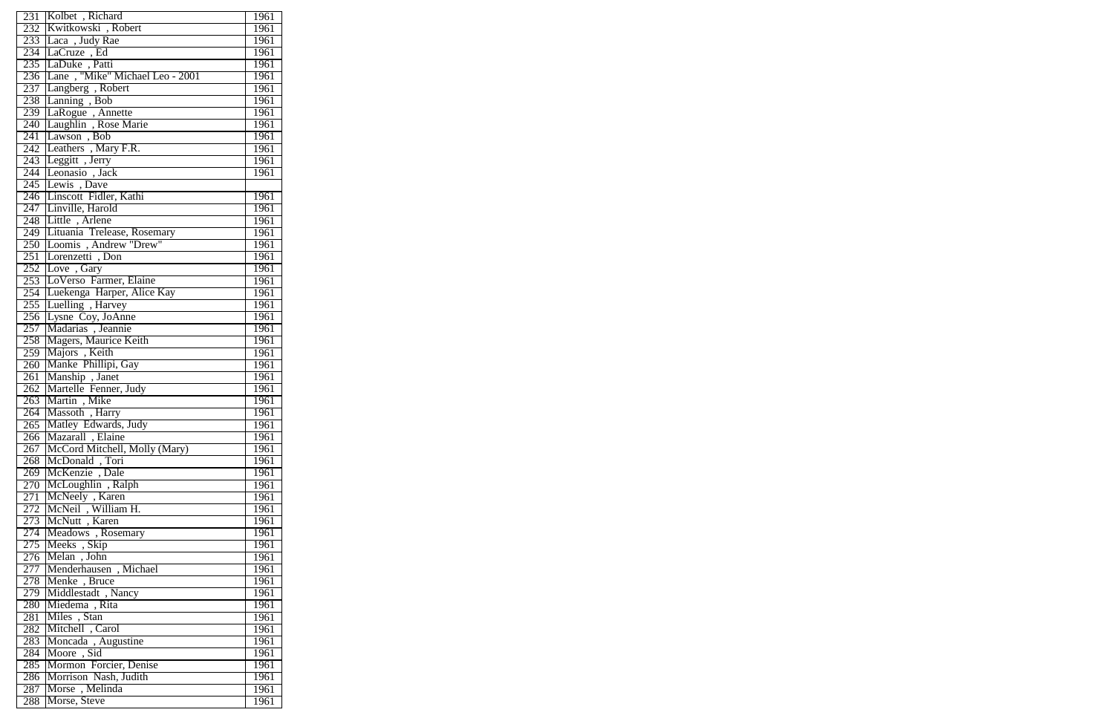|     | 231 Kolbet, Richard                      | 1961 |
|-----|------------------------------------------|------|
|     | 232 Kwitkowski, Robert                   | 1961 |
|     | 233 Laca, Judy Rae                       | 1961 |
|     |                                          | 1961 |
|     | 234 LaCruze, Ed                          |      |
|     | 235 LaDuke, Patti                        | 1961 |
|     | 236 Lane, "Mike" Michael Leo - 2001      | 1961 |
| 237 | Langberg, Robert                         | 1961 |
| 238 | Lanning, Bob                             | 1961 |
|     | 239 LaRogue, Annette                     | 1961 |
| 240 | Laughlin, Rose Marie                     | 1961 |
| 241 | Lawson, Bob                              | 1961 |
|     | 242 Leathers, Mary F.R.                  | 1961 |
|     |                                          | 1961 |
|     | 243 Leggitt, Jerry<br>244 Leonasio, Jack | 1961 |
|     | 245 Lewis, Dave                          |      |
|     | 246 Linscott Fidler, Kathi               | 1961 |
|     | 247 Linville, Harold                     | 1961 |
|     | 248 Little, Arlene                       | 1961 |
|     | 249 Lituania Trelease, Rosemary          | 1961 |
|     | 250 Loomis, Andrew "Drew"                | 1961 |
|     | 251 Lorenzetti, Don                      | 1961 |
|     | 252 Love, Gary                           | 1961 |
|     |                                          |      |
|     | 253 LoVerso Farmer, Elaine               | 1961 |
|     | 254 Luekenga Harper, Alice Kay           | 1961 |
|     | 255 Luelling, Harvey                     | 1961 |
|     | 256 Lysne Coy, JoAnne                    | 1961 |
| 257 | Madarias, Jeannie                        | 1961 |
| 258 | Magers, Maurice Keith                    | 1961 |
| 259 | Majors, Keith                            | 1961 |
|     | 260 Manke Phillipi, Gay                  | 1961 |
|     | 261 Manship, Janet                       | 1961 |
|     | 262 Martelle Fenner, Judy                | 1961 |
|     | 263 Martin, Mike                         | 1961 |
|     | 264 Massoth, Harry                       | 1961 |
| 265 | Matley Edwards, Judy                     | 1961 |
|     | 266   Mazarall, Elaine                   | 1961 |
|     | 267   McCord Mitchell, Molly (Mary)      | 1961 |
|     | 268 McDonald, Tori                       | 1961 |
|     | 269   McKenzie, Dale                     | 1961 |
|     | 270 McLoughlin, Ralph                    | 1961 |
| 271 | McNeely, Karen                           | 1961 |
|     | 272 McNeil, William H.                   | 1961 |
|     | 273 McNutt, Karen                        | 1961 |
|     | 274 Meadows, Rosemary                    | 1961 |
|     | 275 Meeks, Skip                          | 1961 |
|     | 276 Melan, John                          |      |
|     |                                          | 1961 |
|     | 277 Menderhausen, Michael                | 1961 |
|     | 278 Menke, Bruce                         | 1961 |
|     | 279 Middlestadt, Nancy                   | 1961 |
|     | 280   Miedema, Rita                      | 1961 |
| 281 | Miles, Stan                              | 1961 |
|     | 282 Mitchell, Carol                      | 1961 |
| 283 | Moncada, Augustine                       | 1961 |
|     | 284 Moore, Sid                           | 1961 |
| 285 | Mormon Forcier, Denise                   | 1961 |
|     | 286 Morrison Nash, Judith                | 1961 |
| 287 | Morse, Melinda                           | 1961 |
| 288 | Morse, Steve                             | 1961 |
|     |                                          |      |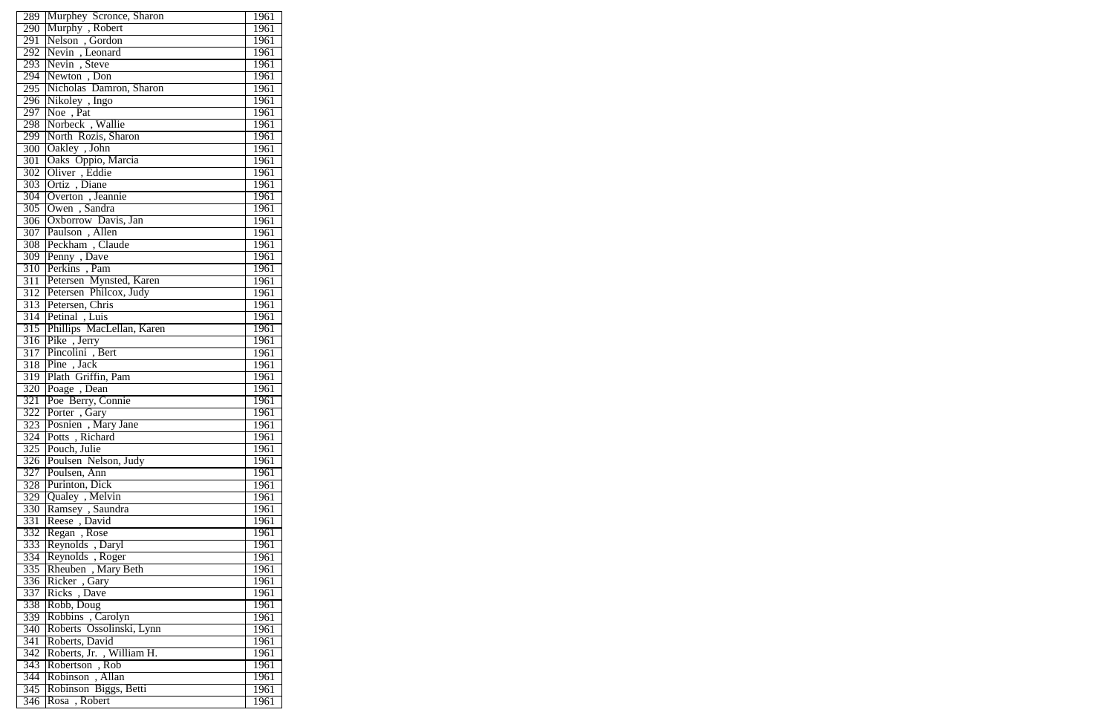|                         | 289 Murphey Scronce, Sharon                 | 1961         |
|-------------------------|---------------------------------------------|--------------|
|                         | 290 Murphy, Robert                          | 1961         |
|                         | 291 Nelson, Gordon                          | 1961         |
|                         |                                             |              |
|                         | 292 Nevin, Leonard                          | 1961         |
|                         | 293 Nevin, Steve                            | 1961         |
|                         | 294 Newton, Don                             | 1961         |
|                         | 295 Nicholas Damron, Sharon                 | 1961         |
|                         | 296 Nikoley , Ingo                          | 1961         |
|                         | 297 Noe, Pat                                | 1961         |
|                         | 298 Norbeck, Wallie                         | 1961         |
|                         | 299 North Rozis, Sharon                     | 1961         |
|                         | 300 Oakley, John                            | 1961         |
|                         |                                             | 1961         |
|                         | 301 Oaks Oppio, Marcia<br>302 Oliver, Eddie | 1961         |
|                         | 303 Ortiz, Diane                            | 1961         |
|                         | 304 Overton, Jeannie                        | 1961         |
|                         | 305 Owen, Sandra                            | 1961         |
|                         | 306 Oxborrow Davis, Jan                     | 1961         |
|                         | 307 Paulson, Allen                          | 1961         |
|                         | 308 Peckham, Claude                         | 1961         |
|                         | 309 Penny, Dave                             | 1961         |
|                         |                                             |              |
|                         | 310 Perkins, Pam                            | 1961         |
|                         | 311 Petersen Mynsted, Karen                 | 1961         |
|                         | 312 Petersen Philcox, Judy                  | 1961         |
|                         | 313 Petersen, Chris                         | 1961         |
|                         | 314 Petinal, Luis                           | 1961         |
|                         | 315 Phillips MacLellan, Karen               | 1961         |
|                         | 316 Pike, Jerry                             | 1961         |
|                         | 317 Pincolini, Bert                         | 1961         |
|                         | 318 Pine, Jack                              | 1961         |
|                         | 319 Plath Griffin, Pam                      | 1961         |
|                         | 320 Poage, Dean                             | 1961         |
| 321                     | Poe Berry, Connie                           | 1961         |
| 322                     | Porter, Gary                                | 1961         |
|                         | 323 Posnien, Mary Jane                      | 1961         |
|                         | 324 Potts, Richard                          | 1961         |
|                         | 325 Pouch, Julie                            | 1961         |
|                         | 326 Poulsen Nelson, Judy                    | 1961         |
|                         | 327 Poulsen, Ann                            | 1961         |
|                         | 328 Purinton, Dick                          | 1961         |
|                         | 329 Qualey, Melvin                          | 1961         |
|                         | 330 Ramsey, Saundra                         | 1961         |
|                         | Reese, David                                |              |
| 331                     |                                             | 1961         |
| 332                     | Regan, Rose                                 | 1961         |
|                         | 333 Reynolds, Daryl                         | 1961         |
|                         | 334 Reynolds, Roger                         | 1961         |
|                         | 335 Rheuben, Mary Beth                      | 1961         |
|                         | 336 Ricker, Gary<br>337 Ricks, Dave         | 1961         |
|                         |                                             | 1961         |
|                         | 338 Robb, Doug                              | 1961         |
|                         | 339 Robbins, Carolyn                        | 1961         |
|                         |                                             |              |
| 340                     | Roberts Ossolinski, Lynn                    | 1961         |
| 341                     | Roberts, David                              | 1961         |
|                         |                                             |              |
| 342                     | Roberts, Jr., William H.                    | 1961         |
| 343                     | Robertson, Rob                              | 1961         |
|                         | 344 Robinson, Allan                         | 1961         |
| $\overline{345}$<br>346 | Robinson Biggs, Betti<br>Rosa, Robert       | 1961<br>1961 |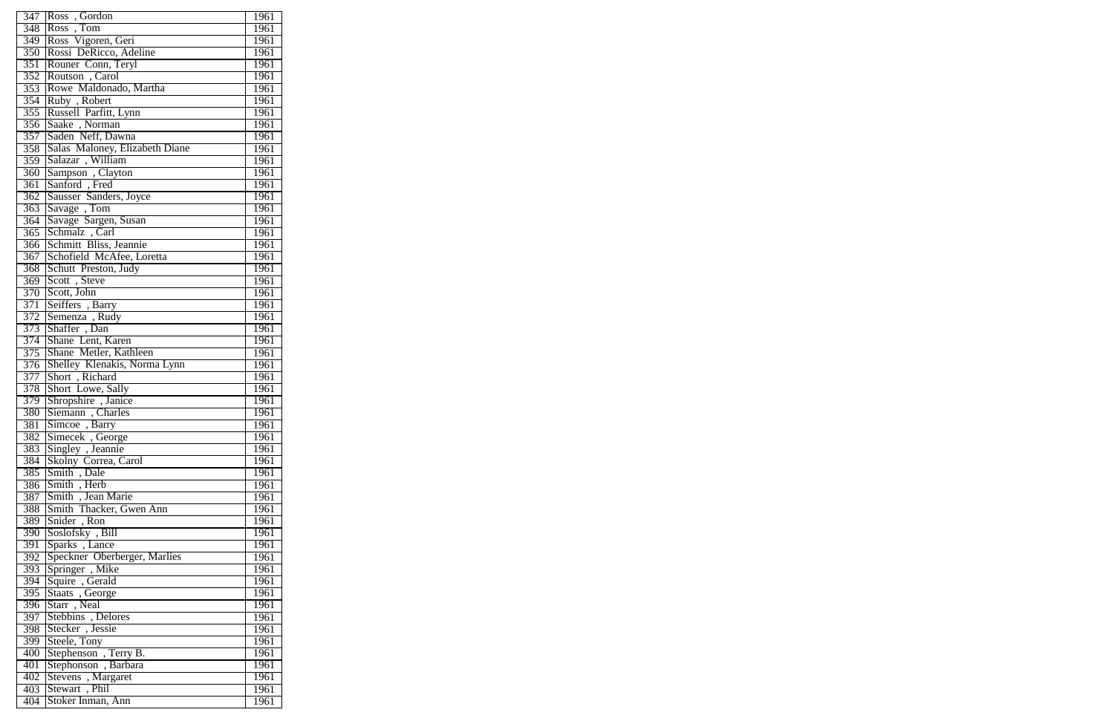|                  | 347 Ross, Gordon                               | 1961 |
|------------------|------------------------------------------------|------|
|                  | 348 Ross, Tom                                  | 1961 |
|                  | 349 Ross Vigoren, Geri                         | 1961 |
|                  | 350 Rossi DeRicco, Adeline                     | 1961 |
|                  | 351 Rouner Conn, Teryl                         | 1961 |
|                  |                                                | 1961 |
|                  | 352 Routson, Carol                             |      |
|                  | 353 Rowe Maldonado, Martha                     | 1961 |
|                  | 354 Ruby, Robert                               | 1961 |
|                  | 355 Russell Parfitt, Lynn                      | 1961 |
|                  | 356 Saake, Norman                              | 1961 |
|                  | 357 Saden Neff, Dawna                          | 1961 |
|                  | 358 Salas Maloney, Elizabeth Diane             | 1961 |
|                  |                                                | 1961 |
|                  | 359 Salazar , William<br>360 Sampson , Clayton | 1961 |
| $\overline{361}$ | Sanford, Fred                                  | 1961 |
|                  | 362 Sausser Sanders, Joyce                     | 1961 |
|                  | 363 Savage, Tom                                | 1961 |
|                  | 364 Savage Sargen, Susan                       | 1961 |
| 365              | Schmalz, Carl                                  | 1961 |
|                  | 366 Schmitt Bliss, Jeannie                     | 1961 |
|                  | 367 Schofield McAfee, Loretta                  | 1961 |
|                  | 368 Schutt Preston, Judy                       | 1961 |
|                  | 369 Scott, Steve                               | 1961 |
| 370              | Scott, John                                    | 1961 |
| 371              | Seiffers, Barry                                | 1961 |
|                  | 372 Semenza, Rudy                              | 1961 |
|                  | 373 Shaffer, Dan                               | 1961 |
|                  | 374 Shane Lent, Karen                          | 1961 |
|                  | 375 Shane Metler, Kathleen                     |      |
|                  |                                                | 1961 |
|                  | 376 Shelley Klenakis, Norma Lynn               | 1961 |
|                  | 377 Short, Richard                             | 1961 |
|                  | 378 Short Lowe, Sally                          | 1961 |
| 379              | Shropshire, Janice                             | 1961 |
| 380              | Siemann, Charles                               | 1961 |
| 381              | Simcoe, Barry                                  | 1961 |
|                  | 382 Simecek, George                            | 1961 |
|                  | 383 Singley, Jeannie                           | 1961 |
| 384              | Skolny Correa, Carol<br>Smith, Dale            | 1961 |
| 385              |                                                | 1961 |
| 386              | Smith, Herb                                    | 1961 |
| 387              | Smith, Jean Marie                              | 1961 |
| 388              | Smith Thacker, Gwen Ann                        | 1961 |
| 389              | Snider, Ron                                    | 1961 |
| $\overline{390}$ | Soslofsky, Bill                                | 1961 |
| 391              | Sparks, Lance                                  | 1961 |
|                  | 392 Speckner Oberberger, Marlies               | 1961 |
| 393              | Springer, Mike                                 | 1961 |
| 394              | Squire, Gerald<br>Staats, George               | 1961 |
| 395              |                                                | 1961 |
| 396              | Starr, Neal                                    | 1961 |
|                  | 397 Stebbins, Delores                          | 1961 |
| 398              | Stecker, Jessie                                | 1961 |
| 399              | Steele, Tony                                   | 1961 |
| 400              | Stephenson, Terry B.                           | 1961 |
| 401              | Stephonson, Barbara                            | 1961 |
| 402              | Stevens, Margaret                              | 1961 |
| 403              | Stewart, Phil                                  | 1961 |
| 404              | Stoker Inman, Ann                              | 1961 |
|                  |                                                |      |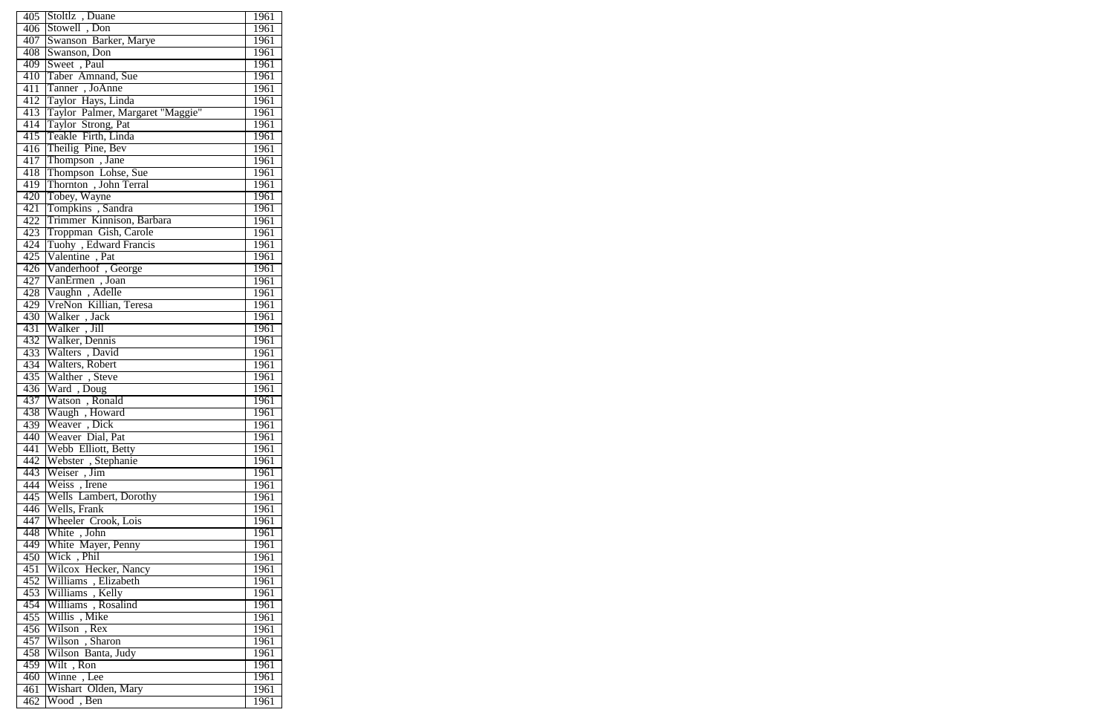|     | 405 Stoltlz, Duane                            |      |
|-----|-----------------------------------------------|------|
|     |                                               | 1961 |
|     | 406 Stowell, Don                              | 1961 |
|     | 407 Swanson Barker, Marye                     | 1961 |
| 408 | Swanson, Don                                  | 1961 |
|     | 409 Sweet, Paul                               | 1961 |
| 410 | Taber Amnand, Sue                             | 1961 |
| 411 | Tanner, JoAnne                                | 1961 |
| 412 | Taylor Hays, Linda                            | 1961 |
| 413 | Taylor Palmer, Margaret "Maggie"              | 1961 |
| 414 | Taylor Strong, Pat                            | 1961 |
|     | 415 Teakle Firth, Linda                       | 1961 |
| 416 | Theilig Pine, Bev                             | 1961 |
| 417 | Thompson, Jane                                | 1961 |
| 418 | Thompson Lohse, Sue                           | 1961 |
| 419 | Thornton, John Terral                         | 1961 |
|     | 420 Tobey, Wayne                              | 1961 |
|     |                                               |      |
| 421 | Tompkins, Sandra                              | 1961 |
| 422 | Trimmer Kinnison, Barbara                     | 1961 |
| 423 | Troppman Gish, Carole                         | 1961 |
| 424 | Tuohy, Edward Francis                         | 1961 |
|     | 425 Valentine, Pat                            | 1961 |
|     | 426 Vanderhoof , George<br>427 VanErmen, Joan | 1961 |
|     |                                               | 1961 |
|     | 428 Vaughn, Adelle                            | 1961 |
|     | 429 VreNon Killian, Teresa                    | 1961 |
|     | 430 Walker, Jack                              | 1961 |
| 431 | Walker, Jill                                  | 1961 |
|     | 432 Walker, Dennis<br>433 Walters, David      | 1961 |
|     |                                               | 1961 |
|     | 434 Walters, Robert                           | 1961 |
|     | 435 Walther, Steve                            | 1961 |
|     | 436 Ward, Doug                                | 1961 |
| 437 | Watson, Ronald<br>Waugh, Howard               | 1961 |
| 438 |                                               | 1961 |
| 439 | Weaver, Dick                                  | 1961 |
|     | 440 Weaver Dial, Pat                          | 1961 |
|     | 441 Webb Elliott, Betty                       | 1961 |
|     | 442 Webster, Stephanie                        | 1961 |
|     | 443 Weiser, Jim                               | 1961 |
| 444 | Weiss, Irene                                  | 1961 |
|     | 445 Wells Lambert, Dorothy                    | 1961 |
|     | 446 Wells, Frank                              | 1961 |
|     | 447 Wheeler Crook, Lois                       |      |
|     |                                               | 1961 |
|     | 448 White, John                               | 1961 |
|     | 449 White Mayer, Penny                        | 1961 |
|     | 450 Wick, Phil                                | 1961 |
|     | 451 Wilcox Hecker, Nancy                      | 1961 |
|     | 452 Williams, Elizabeth                       | 1961 |
|     | 453 Williams, Kelly                           | 1961 |
| 454 | Williams, Rosalind                            | 1961 |
|     | 455 Willis, Mike                              | 1961 |
|     | 456 Wilson, Rex                               | 1961 |
|     | 457 Wilson, Sharon                            | 1961 |
| 458 | Wilson Banta, Judy                            | 1961 |
|     | 459 Wilt, Ron                                 | 1961 |
|     | 460 Winne, Lee                                | 1961 |
| 461 | Wishart Olden, Mary                           | 1961 |
| 462 | Wood, Ben                                     | 1961 |